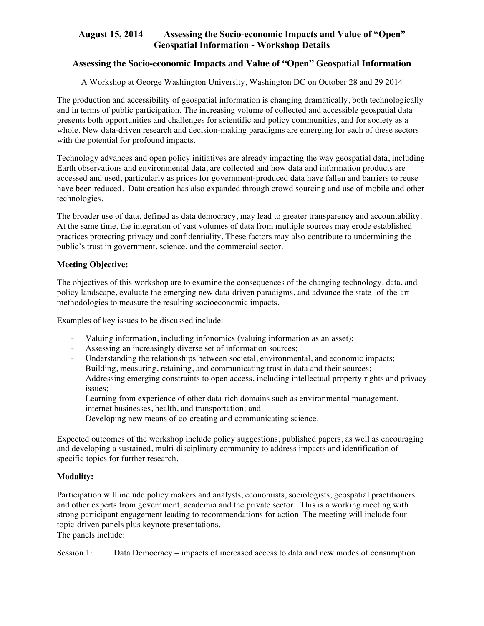#### **Assessing the Socio-economic Impacts and Value of "Open" Geospatial Information**

A Workshop at George Washington University, Washington DC on October 28 and 29 2014

The production and accessibility of geospatial information is changing dramatically, both technologically and in terms of public participation. The increasing volume of collected and accessible geospatial data presents both opportunities and challenges for scientific and policy communities, and for society as a whole. New data-driven research and decision-making paradigms are emerging for each of these sectors with the potential for profound impacts.

Technology advances and open policy initiatives are already impacting the way geospatial data, including Earth observations and environmental data, are collected and how data and information products are accessed and used, particularly as prices for government-produced data have fallen and barriers to reuse have been reduced. Data creation has also expanded through crowd sourcing and use of mobile and other technologies.

The broader use of data, defined as data democracy, may lead to greater transparency and accountability. At the same time, the integration of vast volumes of data from multiple sources may erode established practices protecting privacy and confidentiality. These factors may also contribute to undermining the public's trust in government, science, and the commercial sector.

#### **Meeting Objective:**

The objectives of this workshop are to examine the consequences of the changing technology, data, and policy landscape, evaluate the emerging new data-driven paradigms, and advance the state -of-the-art methodologies to measure the resulting socioeconomic impacts.

Examples of key issues to be discussed include:

- Valuing information, including infonomics (valuing information as an asset);
- Assessing an increasingly diverse set of information sources;
- Understanding the relationships between societal, environmental, and economic impacts;
- Building, measuring, retaining, and communicating trust in data and their sources;
- Addressing emerging constraints to open access, including intellectual property rights and privacy issues;
- Learning from experience of other data-rich domains such as environmental management, internet businesses, health, and transportation; and
- Developing new means of co-creating and communicating science.

Expected outcomes of the workshop include policy suggestions, published papers, as well as encouraging and developing a sustained, multi-disciplinary community to address impacts and identification of specific topics for further research.

#### **Modality:**

Participation will include policy makers and analysts, economists, sociologists, geospatial practitioners and other experts from government, academia and the private sector. This is a working meeting with strong participant engagement leading to recommendations for action. The meeting will include four topic-driven panels plus keynote presentations.

The panels include:

Session 1: Data Democracy – impacts of increased access to data and new modes of consumption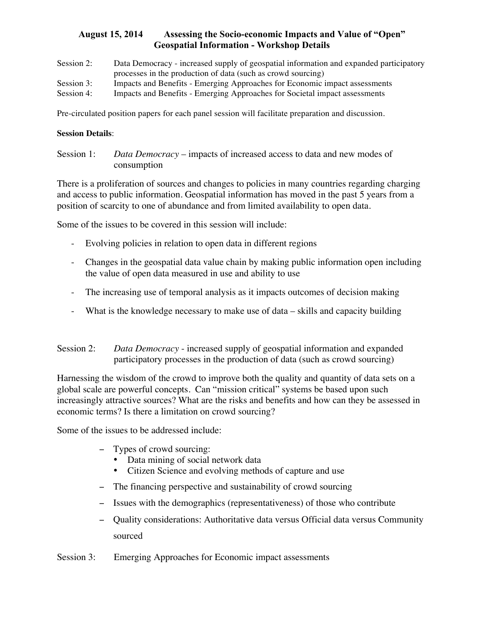- Session 2: Data Democracy increased supply of geospatial information and expanded participatory processes in the production of data (such as crowd sourcing) Session 3: Impacts and Benefits - Emerging Approaches for Economic impact assessments
- Session 4: Impacts and Benefits Emerging Approaches for Societal impact assessments

Pre-circulated position papers for each panel session will facilitate preparation and discussion.

#### **Session Details**:

Session 1: *Data Democracy* – impacts of increased access to data and new modes of consumption

There is a proliferation of sources and changes to policies in many countries regarding charging and access to public information. Geospatial information has moved in the past 5 years from a position of scarcity to one of abundance and from limited availability to open data.

Some of the issues to be covered in this session will include:

- Evolving policies in relation to open data in different regions
- Changes in the geospatial data value chain by making public information open including the value of open data measured in use and ability to use
- The increasing use of temporal analysis as it impacts outcomes of decision making
- What is the knowledge necessary to make use of data skills and capacity building

Session 2: *Data Democracy* - increased supply of geospatial information and expanded participatory processes in the production of data (such as crowd sourcing)

Harnessing the wisdom of the crowd to improve both the quality and quantity of data sets on a global scale are powerful concepts. Can "mission critical" systems be based upon such increasingly attractive sources? What are the risks and benefits and how can they be assessed in economic terms? Is there a limitation on crowd sourcing?

Some of the issues to be addressed include:

- − Types of crowd sourcing:
	- Data mining of social network data
	- Citizen Science and evolving methods of capture and use
- − The financing perspective and sustainability of crowd sourcing
- − Issues with the demographics (representativeness) of those who contribute
- − Quality considerations: Authoritative data versus Official data versus Community sourced

Session 3: Emerging Approaches for Economic impact assessments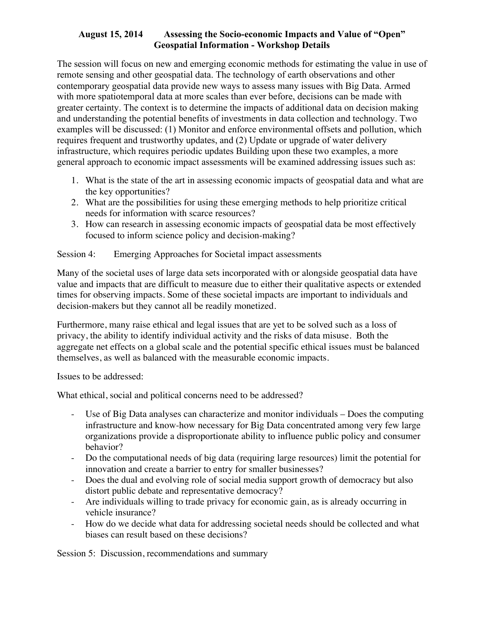The session will focus on new and emerging economic methods for estimating the value in use of remote sensing and other geospatial data. The technology of earth observations and other contemporary geospatial data provide new ways to assess many issues with Big Data. Armed with more spatiotemporal data at more scales than ever before, decisions can be made with greater certainty. The context is to determine the impacts of additional data on decision making and understanding the potential benefits of investments in data collection and technology. Two examples will be discussed: (1) Monitor and enforce environmental offsets and pollution, which requires frequent and trustworthy updates, and (2) Update or upgrade of water delivery infrastructure, which requires periodic updates Building upon these two examples, a more general approach to economic impact assessments will be examined addressing issues such as:

- 1. What is the state of the art in assessing economic impacts of geospatial data and what are the key opportunities?
- 2. What are the possibilities for using these emerging methods to help prioritize critical needs for information with scarce resources?
- 3. How can research in assessing economic impacts of geospatial data be most effectively focused to inform science policy and decision-making?

# Session 4: Emerging Approaches for Societal impact assessments

Many of the societal uses of large data sets incorporated with or alongside geospatial data have value and impacts that are difficult to measure due to either their qualitative aspects or extended times for observing impacts. Some of these societal impacts are important to individuals and decision-makers but they cannot all be readily monetized.

Furthermore, many raise ethical and legal issues that are yet to be solved such as a loss of privacy, the ability to identify individual activity and the risks of data misuse. Both the aggregate net effects on a global scale and the potential specific ethical issues must be balanced themselves, as well as balanced with the measurable economic impacts.

Issues to be addressed:

What ethical, social and political concerns need to be addressed?

- Use of Big Data analyses can characterize and monitor individuals Does the computing infrastructure and know-how necessary for Big Data concentrated among very few large organizations provide a disproportionate ability to influence public policy and consumer behavior?
- Do the computational needs of big data (requiring large resources) limit the potential for innovation and create a barrier to entry for smaller businesses?
- Does the dual and evolving role of social media support growth of democracy but also distort public debate and representative democracy?
- Are individuals willing to trade privacy for economic gain, as is already occurring in vehicle insurance?
- How do we decide what data for addressing societal needs should be collected and what biases can result based on these decisions?

Session 5: Discussion, recommendations and summary